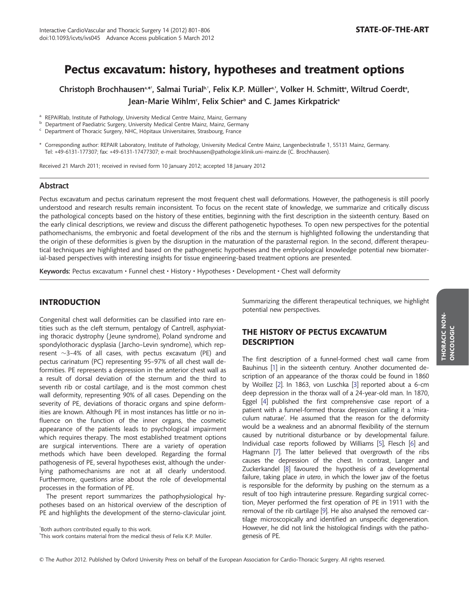# Pectus excavatum: history, hypotheses and treatment options

Christoph Brochhausen<sup>a,\*†</sup>, Salmai Turialbi†, Felix K.P. Müller<sup>a,</sup>†, Volker H. Schmittª, Wiltrud Coerdtª, Jean-Marie Wihlm<sup>c</sup>, Felix Schier<sup>ь</sup> and C. James Kirkpatrick<sup>a</sup>

<sup>a</sup> REPAIRIab, Institute of Pathology, University Medical Centre Mainz, Mainz, Germany<br><sup>b</sup> Department of Paediatric Surgery, University Medical Centre Mainz, Mainz, Germany<br><sup>c</sup> Department of Thoracic Surgery, NHC, Hôpitaux

\* Corresponding author: REPAIR Laboratory, Institute of Pathology, University Medical Centre Mainz, Langenbeckstraße 1, 55131 Mainz, Germany. Tel: +49-6131-177307; fax: +49-6131-17477307; e-mail: brochhausen@pathologie.klinik.uni-mainz.de (C. Brochhausen).

Received 21 March 2011; received in revised form 10 January 2012; accepted 18 January 2012

### Abstract

Pectus excavatum and pectus carinatum represent the most frequent chest wall deformations. However, the pathogenesis is still poorly understood and research results remain inconsistent. To focus on the recent state of knowledge, we summarize and critically discuss the pathological concepts based on the history of these entities, beginning with the first description in the sixteenth century. Based on the early clinical descriptions, we review and discuss the different pathogenetic hypotheses. To open new perspectives for the potential pathomechanisms, the embryonic and foetal development of the ribs and the sternum is highlighted following the understanding that the origin of these deformities is given by the disruption in the maturation of the parasternal region. In the second, different therapeutical techniques are highlighted and based on the pathogenetic hypotheses and the embryological knowledge potential new biomaterial-based perspectives with interesting insights for tissue engineering-based treatment options are presented.

Keywords: Pectus excavatum • Funnel chest • History • Hypotheses • Development • Chest wall deformity

### INTRODUCTION

Congenital chest wall deformities can be classified into rare entities such as the cleft sternum, pentalogy of Cantrell, asphyxiating thoracic dystrophy ( Jeune syndrome), Poland syndrome and spondylothoracic dysplasia ( Jarcho–Levin syndrome), which represent  $\sim$ 3-4% of all cases, with pectus excavatum (PE) and pectus carinatum (PC) representing 95–97% of all chest wall deformities. PE represents a depression in the anterior chest wall as a result of dorsal deviation of the sternum and the third to seventh rib or costal cartilage, and is the most common chest wall deformity, representing 90% of all cases. Depending on the severity of PE, deviations of thoracic organs and spine deformities are known. Although PE in most instances has little or no influence on the function of the inner organs, the cosmetic appearance of the patients leads to psychological impairment which requires therapy. The most established treatment options are surgical interventions. There are a variety of operation methods which have been developed. Regarding the formal pathogenesis of PE, several hypotheses exist, although the underlying pathomechanisms are not at all clearly understood. Furthermore, questions arise about the role of developmental processes in the formation of PE.

The present report summarizes the pathophysiological hypotheses based on an historical overview of the description of PE and highlights the development of the sterno-clavicular joint.

‡ This work contains material from the medical thesis of Felix K.P. Müller.

Summarizing the different therapeutical techniques, we highlight potential new perspectives.

# THE HISTORY OF PECTUS EXCAVATUM **DESCRIPTION**

The first description of a funnel-formed chest wall came from Bauhinus [[1](#page-4-0)] in the sixteenth century. Another documented description of an appearance of the thorax could be found in 1860 by Woillez [\[2\]](#page-4-0). In 1863, von Luschka [[3](#page-4-0)] reported about a 6-cm deep depression in the thorax wall of a 24-year-old man. In 1870, Eggel [\[4\]](#page-4-0) published the first comprehensive case report of a patient with a funnel-formed thorax depression calling it a 'miraculum naturae'. He assumed that the reason for the deformity would be a weakness and an abnormal flexibility of the sternum caused by nutritional disturbance or by developmental failure. Individual case reports followed by Williams [[5](#page-4-0)], Flesch [\[6\]](#page-4-0) and Hagmann [[7](#page-4-0)]. The latter believed that overgrowth of the ribs causes the depression of the chest. In contrast, Langer and Zuckerkandel [[8](#page-4-0)] favoured the hypothesis of a developmental failure, taking place in utero, in which the lower jaw of the foetus is responsible for the deformity by pushing on the sternum as a result of too high intrauterine pressure. Regarding surgical correction, Meyer performed the first operation of PE in 1911 with the removal of the rib cartilage [\[9](#page-4-0)]. He also analysed the removed cartilage microscopically and identified an unspecific degeneration. However, he did not link the histological findings with the pathogenesis of PE.

<sup>†</sup> Both authors contributed equally to this work.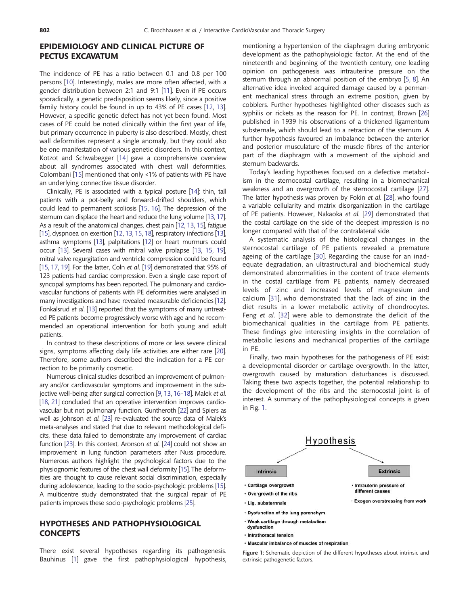# EPIDEMIOLOGY AND CLINICAL PICTURE OF PECTUS EXCAVATUM

The incidence of PE has a ratio between 0.1 and 0.8 per 100 persons [\[10](#page-4-0)]. Interestingly, males are more often affected, with a gender distribution between 2:1 and 9:1 [\[11](#page-4-0)]. Even if PE occurs sporadically, a genetic predisposition seems likely, since a positive family history could be found in up to 43% of PE cases [[12](#page-4-0), [13\]](#page-4-0). However, a specific genetic defect has not yet been found. Most cases of PE could be noted clinically within the first year of life, but primary occurrence in puberty is also described. Mostly, chest wall deformities represent a single anomaly, but they could also be one manifestation of various genetic disorders. In this context, Kotzot and Schwabegger [\[14\]](#page-4-0) gave a comprehensive overview about all syndromes associated with chest wall deformities. Colombani [[15\]](#page-4-0) mentioned that only <1% of patients with PE have an underlying connective tissue disorder.

Clinically, PE is associated with a typical posture [\[14](#page-4-0)]: thin, tall patients with a pot-belly and forward-drifted shoulders, which could lead to permanent scoliosis [[15,](#page-4-0) [16](#page-4-0)]. The depression of the sternum can displace the heart and reduce the lung volume [[13,](#page-4-0) [17\]](#page-4-0). As a result of the anatomical changes, chest pain [[12,](#page-4-0) [13](#page-4-0), [15\]](#page-4-0), fatigue [[15\]](#page-4-0), dyspnoea on exertion [\[12](#page-4-0), [13,](#page-4-0) [15](#page-4-0), [18\]](#page-4-0), respiratory infections [\[13\]](#page-4-0), asthma symptoms [\[13\]](#page-4-0), palpitations [[12\]](#page-4-0) or heart murmurs could occur [\[13](#page-4-0)]. Several cases with mitral valve prolapse [[13,](#page-4-0) [15](#page-4-0), [19\]](#page-4-0), mitral valve regurgitation and ventricle compression could be found [[15,](#page-4-0) [17,](#page-4-0) [19\]](#page-4-0). For the latter, Coln et al. [\[19\]](#page-4-0) demonstrated that 95% of 123 patients had cardiac compression. Even a single case report of syncopal symptoms has been reported. The pulmonary and cardiovascular functions of patients with PE deformities were analysed in many investigations and have revealed measurable deficiencies [\[12\]](#page-4-0). Fonkalsrud et al. [\[13](#page-4-0)] reported that the symptoms of many untreated PE patients become progressively worse with age and he recommended an operational intervention for both young and adult patients.

In contrast to these descriptions of more or less severe clinical signs, symptoms affecting daily life activities are either rare [[20\]](#page-4-0). Therefore, some authors described the indication for a PE correction to be primarily cosmetic.

Numerous clinical studies described an improvement of pulmonary and/or cardiovascular symptoms and improvement in the subjective well-being after surgical correction [\[9](#page-4-0), [13,](#page-4-0) [16](#page-4-0)–[18\]](#page-4-0). Malek et al. [[18,](#page-4-0) [21\]](#page-4-0) concluded that an operative intervention improves cardiovascular but not pulmonary function. Guntheroth [\[22\]](#page-4-0) and Spiers as well as Johnson et al. [\[23\]](#page-4-0) re-evaluated the source data of Malek's meta-analyses and stated that due to relevant methodological deficits, these data failed to demonstrate any improvement of cardiac function [\[23](#page-4-0)]. In this context, Aronson et al. [[24\]](#page-4-0) could not show an improvement in lung function parameters after Nuss procedure. Numerous authors highlight the psychological factors due to the physiognomic features of the chest wall deformity [[15](#page-4-0)]. The deformities are thought to cause relevant social discrimination, especially during adolescence, leading to the socio-psychologic problems [\[15](#page-4-0)]. A multicentre study demonstrated that the surgical repair of PE patients improves these socio-psychologic problems [\[25\]](#page-4-0).

### HYPOTHESES AND PATHOPHYSIOLOGICAL **CONCEPTS**

There exist several hypotheses regarding its pathogenesis. Bauhinus [[1](#page-4-0)] gave the first pathophysiological hypothesis, mentioning a hypertension of the diaphragm during embryonic development as the pathophysiologic factor. At the end of the nineteenth and beginning of the twentieth century, one leading opinion on pathogenesis was intrauterine pressure on the sternum through an abnormal position of the embryo [[5](#page-4-0), [8\]](#page-4-0). An alternative idea invoked acquired damage caused by a permanent mechanical stress through an extreme position, given by cobblers. Further hypotheses highlighted other diseases such as syphilis or rickets as the reason for PE. In contrast, Brown [[26\]](#page-4-0) published in 1939 his observations of a thickened ligamentum substernale, which should lead to a retraction of the sternum. A further hypothesis favoured an imbalance between the anterior and posterior musculature of the muscle fibres of the anterior part of the diaphragm with a movement of the xiphoid and sternum backwards.

Today's leading hypotheses focused on a defective metabolism in the sternocostal cartilage, resulting in a biomechanical weakness and an overgrowth of the sternocostal cartilage [[27\]](#page-4-0). The latter hypothesis was proven by Fokin et al. [[28\]](#page-4-0), who found a variable cellularity and matrix disorganization in the cartilage of PE patients. However, Nakaoka et al. [[29](#page-4-0)] demonstrated that the costal cartilage on the side of the deepest impression is no longer compared with that of the contralateral side.

A systematic analysis of the histological changes in the sternocostal cartilage of PE patients revealed a premature ageing of the cartilage [\[30\]](#page-4-0). Regarding the cause for an inadequate degradation, an ultrastructural and biochemical study demonstrated abnormalities in the content of trace elements in the costal cartilage from PE patients, namely decreased levels of zinc and increased levels of magnesium and calcium [\[31\]](#page-4-0), who demonstrated that the lack of zinc in the diet results in a lower metabolic activity of chondrocytes. Feng et al. [\[32\]](#page-4-0) were able to demonstrate the deficit of the biomechanical qualities in the cartilage from PE patients. These findings give interesting insights in the correlation of metabolic lesions and mechanical properties of the cartilage in PE.

Finally, two main hypotheses for the pathogenesis of PE exist: a developmental disorder or cartilage overgrowth. In the latter, overgrowth caused by maturation disturbances is discussed. Taking these two aspects together, the potential relationship to the development of the ribs and the sternocostal joint is of interest. A summary of the pathophysiological concepts is given in Fig. 1.



- · Intrathoracal tension
- · Muscular imbalance of muscles of respiration

Figure 1: Schematic depiction of the different hypotheses about intrinsic and extrinsic pathogenetic factors.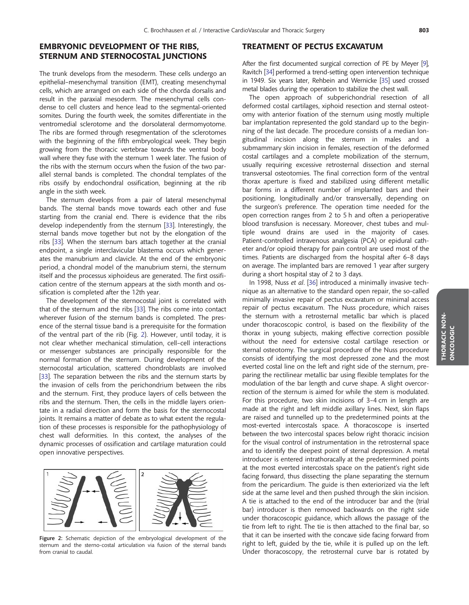# EMBRYONIC DEVELOPMENT OF THE RIBS, STERNUM AND STERNOCOSTAL JUNCTIONS

The trunk develops from the mesoderm. These cells undergo an epithelial–mesenchymal transition (EMT), creating mesenchymal cells, which are arranged on each side of the chorda dorsalis and result in the paraxial mesoderm. The mesenchymal cells condense to cell clusters and hence lead to the segmental-oriented somites. During the fourth week, the somites differentiate in the ventromedial sclerotome and the dorsolateral dermomyotome. The ribs are formed through resegmentation of the sclerotomes with the beginning of the fifth embryological week. They begin growing from the thoracic vertebrae towards the ventral body wall where they fuse with the sternum 1 week later. The fusion of the ribs with the sternum occurs when the fusion of the two parallel sternal bands is completed. The chondral templates of the ribs ossify by endochondral ossification, beginning at the rib angle in the sixth week.

The sternum develops from a pair of lateral mesenchymal bands. The sternal bands move towards each other and fuse starting from the cranial end. There is evidence that the ribs develop independently from the sternum [\[33\]](#page-4-0). Interestingly, the sternal bands move together but not by the elongation of the ribs [[33\]](#page-4-0). When the sternum bars attach together at the cranial endpoint, a single interclavicular blastema occurs which generates the manubrium and clavicle. At the end of the embryonic period, a chondral model of the manubrium sterni, the sternum itself and the processus xiphoideus are generated. The first ossification centre of the sternum appears at the sixth month and ossification is completed after the 12th year.

The development of the sternocostal joint is correlated with that of the sternum and the ribs [[33](#page-4-0)]. The ribs come into contact wherever fusion of the sternum bands is completed. The presence of the sternal tissue band is a prerequisite for the formation of the ventral part of the rib (Fig. 2). However, until today, it is not clear whether mechanical stimulation, cell–cell interactions or messenger substances are principally responsible for the normal formation of the sternum. During development of the sternocostal articulation, scattered chondroblasts are involved [[33\]](#page-4-0). The separation between the ribs and the sternum starts by the invasion of cells from the perichondrium between the ribs and the sternum. First, they produce layers of cells between the ribs and the sternum. Then, the cells in the middle layers orientate in a radial direction and form the basis for the sternocostal joints. It remains a matter of debate as to what extent the regulation of these processes is responsible for the pathophysiology of chest wall deformities. In this context, the analyses of the dynamic processes of ossification and cartilage maturation could open innovative perspectives.



Figure 2: Schematic depiction of the embryological development of the sternum and the sterno-costal articulation via fusion of the sternal bands from cranial to caudal.

### TREATMENT OF PECTUS EXCAVATUM

After the first documented surgical correction of PE by Meyer [\[9\]](#page-4-0), Ravitch [\[34\]](#page-4-0) performed a trend-setting open intervention technique in 1949. Six years later, Rehbein and Wernicke [\[35\]](#page-4-0) used crossed metal blades during the operation to stabilize the chest wall.

The open approach of subperichondrial resection of all deformed costal cartilages, xiphoid resection and sternal osteotomy with anterior fixation of the sternum using mostly multiple bar implantation represented the gold standard up to the beginning of the last decade. The procedure consists of a median longitudinal incision along the sternum in males and a submammary skin incision in females, resection of the deformed costal cartilages and a complete mobilization of the sternum, usually requiring excessive retrosternal dissection and sternal transversal osteotomies. The final correction form of the ventral thorax aperture is fixed and stabilized using different metallic bar forms in a different number of implanted bars and their positioning, longitudinally and/or transversally, depending on the surgeon's preference. The operation time needed for the open correction ranges from 2 to 5 h and often a perioperative blood transfusion is necessary. Moreover, chest tubes and multiple wound drains are used in the majority of cases. Patient-controlled intravenous analgesia (PCA) or epidural catheter and/or opioid therapy for pain control are used most of the times. Patients are discharged from the hospital after 6–8 days on average. The implanted bars are removed 1 year after surgery during a short hospital stay of 2 to 3 days.

In 1998, Nuss et al. [\[36\]](#page-4-0) introduced a minimally invasive technique as an alternative to the standard open repair, the so-called minimally invasive repair of pectus excavatum or minimal access repair of pectus excavatum. The Nuss procedure, which raises the sternum with a retrosternal metallic bar which is placed under thoracoscopic control, is based on the flexibility of the thorax in young subjects, making effective correction possible without the need for extensive costal cartilage resection or sternal osteotomy. The surgical procedure of the Nuss procedure consists of identifying the most depressed zone and the most everted costal line on the left and right side of the sternum, preparing the rectilinear metallic bar using flexible templates for the modulation of the bar length and curve shape. A slight overcorrection of the sternum is aimed for while the stem is modulated. For this procedure, two skin incisions of 3–4 cm in length are made at the right and left middle axillary lines. Next, skin flaps are raised and tunnelled up to the predetermined points at the most-everted intercostals space. A thoracoscope is inserted between the two intercostal spaces below right thoracic incision for the visual control of instrumentation in the retrosternal space and to identify the deepest point of sternal depression. A metal introducer is entered intrathoracally at the predetermined points at the most everted intercostals space on the patient's right side facing forward, thus dissecting the plane separating the sternum from the pericardium. The guide is then exteriorized via the left side at the same level and then pushed through the skin incision. A tie is attached to the end of the introducer bar and the (trial bar) introducer is then removed backwards on the right side under thoracoscopic guidance, which allows the passage of the tie from left to right. The tie is then attached to the final bar, so that it can be inserted with the concave side facing forward from right to left, guided by the tie, while it is pulled up on the left. Under thoracoscopy, the retrosternal curve bar is rotated by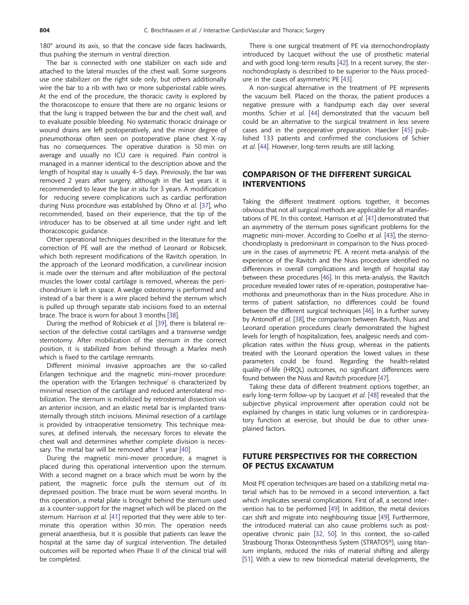180° around its axis, so that the concave side faces backwards, thus pushing the sternum in ventral direction.

The bar is connected with one stabilizer on each side and attached to the lateral muscles of the chest wall. Some surgeons use one stabilizer on the right side only, but others additionally wire the bar to a rib with two or more subperiostal cable wires. At the end of the procedure, the thoracic cavity is explored by the thoracoscope to ensure that there are no organic lesions or that the lung is trapped between the bar and the chest wall, and to evaluate possible bleeding. No systematic thoracic drainage or wound drains are left postoperatively, and the minor degree of pneumothorax often seen on postoperative plane chest X-ray has no consequences. The operative duration is 50 min on average and usually no ICU care is required. Pain control is managed in a manner identical to the description above and the length of hospital stay is usually 4–5 days. Previously, the bar was removed 2 years after surgery, although in the last years it is recommended to leave the bar in situ for 3 years. A modification for reducing severe complications such as cardiac perforation during Nuss procedure was established by Ohno et al. [\[37](#page-4-0)], who recommended, based on their experience, that the tip of the introducer has to be observed at all time under right and left thoracoscopic guidance.

Other operational techniques described in the literature for the correction of PE wall are the method of Leonard or Robicsek, which both represent modifications of the Ravitch operation. In the approach of the Leonard modification, a curvilinear incision is made over the sternum and after mobilization of the pectoral muscles the lower costal cartilage is removed, whereas the perichondrium is left in space. A wedge osteotomy is performed and instead of a bar there is a wire placed behind the sternum which is pulled up through separate stab incisions fixed to an external brace. The brace is worn for about 3 months [[38](#page-5-0)].

During the method of Robicsek et al. [[39\]](#page-5-0), there is bilateral resection of the defective costal cartilages and a transverse wedge sternotomy. After mobilization of the sternum in the correct position, it is stabilized from behind through a Marlex mesh which is fixed to the cartilage remnants.

Different minimal invasive approaches are the so-called Erlangen technique and the magnetic mini-mover procedure: the operation with the 'Erlangen technique' is characterized by minimal resection of the cartilage and reduced anterolateral mobilization. The sternum is mobilized by retrosternal dissection via an anterior incision, and an elastic metal bar is implanted transsternally through stitch incisions. Minimal resection of a cartilage is provided by intraoperative tensiometry. This technique measures, at defined intervals, the necessary forces to elevate the chest wall and determines whether complete division is necessary. The metal bar will be removed after 1 year [[40\]](#page-5-0).

During the magnetic mini-mover procedure, a magnet is placed during this operational intervention upon the sternum. With a second magnet on a brace which must be worn by the patient, the magnetic force pulls the sternum out of its depressed position. The brace must be worn several months. In this operation, a metal plate is brought behind the sternum used as a counter-support for the magnet which will be placed on the sternum. Harrison et al. [\[41\]](#page-5-0) reported that they were able to terminate this operation within 30 min. The operation needs general anaesthesia, but it is possible that patients can leave the hospital at the same day of surgical intervention. The detailed outcomes will be reported when Phase II of the clinical trial will be completed.

There is one surgical treatment of PE via sternochondroplasty introduced by Lacquet without the use of prosthetic material and with good long-term results [[42](#page-5-0)]. In a recent survey, the sternochondroplasty is described to be superior to the Nuss procedure in the cases of asymmetric PE [[43](#page-5-0)].

A non-surgical alternative in the treatment of PE represents the vacuum bell. Placed on the thorax, the patient produces a negative pressure with a handpump each day over several months. Schier et al. [[44\]](#page-5-0) demonstrated that the vacuum bell could be an alternative to the surgical treatment in less severe cases and in the preoperative preparation. Haecker [\[45](#page-5-0)] published 133 patients and confirmed the conclusions of Schier et al. [\[44](#page-5-0)]. However, long-term results are still lacking.

# COMPARISON OF THE DIFFERENT SURGICAL INTERVENTIONS

Taking the different treatment options together, it becomes obvious that not all surgical methods are applicable for all manifestations of PE. In this context, Harrison et al. [\[41](#page-5-0)] demonstrated that an asymmetry of the sternum poses significant problems for the magnetic mini-mover. According to Coelho et al. [\[43](#page-5-0)], the sternochondroplasty is predominant in comparison to the Nuss procedure in the cases of asymmetric PE. A recent meta-analysis of the experience of the Ravitch and the Nuss procedure identified no differences in overall complications and length of hospital stay between these procedures [[46\]](#page-5-0). In this meta-analysis, the Ravitch procedure revealed lower rates of re-operation, postoperative haemothorax and pneumothorax than in the Nuss procedure. Also in terms of patient satisfaction, no differences could be found between the different surgical techniques [\[46](#page-5-0)]. In a further survey by Antonoff et al. [[38\]](#page-5-0), the comparison between Ravitch, Nuss and Leonard operation procedures clearly demonstrated the highest levels for length of hospitalization, fees, analgesic needs and complication rates within the Nuss group, whereas in the patients treated with the Leonard operation the lowest values in these parameters could be found. Regarding the health-related quality-of-life (HRQL) outcomes, no significant differences were found between the Nuss and Ravitch procedure [\[47](#page-5-0)].

Taking these data of different treatment options together, an early long-term follow-up by Lacquet et al. [\[48](#page-5-0)] revealed that the subjective physical improvement after operation could not be explained by changes in static lung volumes or in cardiorespiratory function at exercise, but should be due to other unexplained factors.

# FUTURE PERSPECTIVES FOR THE CORRECTION OF PECTUS EXCAVATUM

Most PE operation techniques are based on a stabilizing metal material which has to be removed in a second intervention, a fact which implicates several complications. First of all, a second intervention has to be performed [\[49](#page-5-0)]. In addition, the metal devices can shift and migrate into neighbouring tissue [[49\]](#page-5-0). Furthermore, the introduced material can also cause problems such as postoperative chronic pain [\[32](#page-4-0), [50\]](#page-5-0). In this context, the so-called Strasbourg Thorax Osteosynthesis System (STRATOS®), using titanium implants, reduced the risks of material shifting and allergy [[51\]](#page-5-0). With a view to new biomedical material developments, the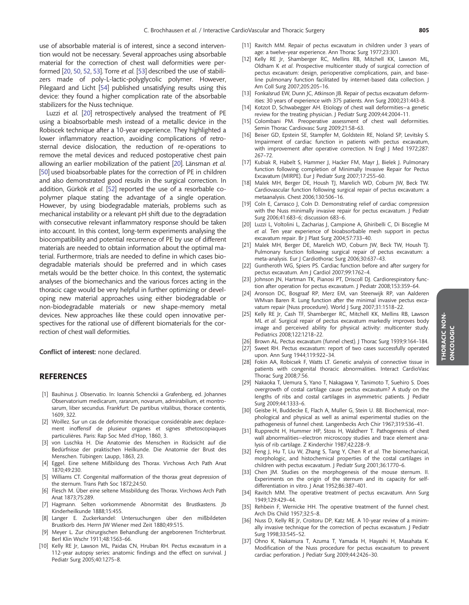<span id="page-4-0"></span>use of absorbable material is of interest, since a second intervention would not be necessary. Several approaches using absorbable material for the correction of chest wall deformities were performed [20, [50](#page-5-0), [52,](#page-5-0) [53\]](#page-5-0). Torre et al. [[53\]](#page-5-0) described the use of stabilizers made of poly-L-lactic-polyglycolic polymer. However, Pilegaard and Licht [\[54](#page-5-0)] published unsatisfying results using this device: they found a higher complication rate of the absorbable stabilizers for the Nuss technique.

Luzzi et al. [20] retrospectively analysed the treatment of PE using a bioabsorbable mesh instead of a metallic device in the Robiscek technique after a 10-year experience. They highlighted a lower inflammatory reaction, avoiding complications of retrosternal device dislocation, the reduction of re-operations to remove the metal devices and reduced postoperative chest pain allowing an earlier mobilization of the patient [20]. Länsman et al. [\[50\]](#page-5-0) used bioabsorbable plates for the correction of PE in children and also demonstrated good results in the surgical correction. In addition, Gürkök et al. [\[52](#page-5-0)] reported the use of a resorbable copolymer plaque stating the advantage of a single operation. However, by using biodegradable materials, problems such as mechanical instability or a relevant pH shift due to the degradation with consecutive relevant inflammatory response should be taken into account. In this context, long-term experiments analysing the biocompatibility and potential recurrence of PE by use of different materials are needed to obtain information about the optimal material. Furthermore, trials are needed to define in which cases biodegradable materials should be preferred and in which cases metals would be the better choice. In this context, the systematic analyses of the biomechanics and the various forces acting in the thoracic cage would be very helpful in further optimizing or developing new material approaches using either biodegradable or non-biodegradable materials or new shape-memory metal devices. New approaches like these could open innovative perspectives for the rational use of different biomaterials for the correction of chest wall deformities.

Conflict of interest: none declared.

#### **REFERENCES**

- [1] Bauhinus J. Observatio. In: Ioannis Schenckii a Grafenberg, ed. Johannes Observatorium medicarum, rararum, novarum, admirabilium, et montrosarum, liber secundus. Frankfurt: De partibus vitalibus, thorace contentis, 1609, 322.
- [2] Woillez. Sur un cas de deformitée thoracique considérable avec deplacement inoffensif de plusieur organes et signes sthetoscopiaques particulières. Paris: Rap Soc Med d'Hop, 1860, 3.
- [3] von Luschka H. Die Anatomie des Menschen in Rücksicht auf die Bedürfnisse der praktischen Heilkunde. Die Anatomie der Brust des Menschen. Tübingen: Laupp, 1863, 23.
- [4] Eggel. Eine seltene Mißbildung des Thorax. Virchows Arch Path Anat 1870;49:230.
- [5] Williams CT. Congenital malformation of the thorax great depression of the sternum. Trans Path Soc 1872;24:50.
- [6] Flesch M. Über eine seltene Missbildung des Thorax. Virchows Arch Path Anat 1873;75:289.
- [7] Hagmann. Selten vorkommende Abnormität des Brustkastens. Jb Kinderheilkunde 1888;15:455.
- [8] Langer E. Zuckerkandel: Untersuchungen über den mißbildeten Brustkorb des. Herrn JW Wiener med Zeit 1880;49:515.
- [9] Meyer L. Zur chirurgischen Behandlung der angeborenen Trichterbrust. Berl Klin Wschr 1911;48:1563–66.
- [10] Kelly RE Jr, Lawson ML, Paidas CN, Hruban RH. Pectus excavatum in a 112-year autopsy series: anatomic findings and the effect on survival. J Pediatr Surg 2005;40:1275–8.
- [11] Ravitch MM. Repair of pectus excavatum in children under 3 years of age: a twelve-year experience. Ann Thorac Surg 1977;23:301.
- [12] Kelly RE Jr, Shamberger RC, Mellins RB, Mitchell KK, Lawson ML, Oldham K et al. Prospective multicenter study of surgical correction of pectus excavatum: design, perioperative complications, pain, and baseline pulmonary function facilitated by internet-based data collection. J Am Coll Surg 2007;205:205–16.
- [13] Fonkalsrud EW, Dunn JC, Atkinson JB. Repair of pectus excavatum deformities: 30 years of experience with 375 patients. Ann Surg 2000;231:443–8.
- [14] Kotzot D, Schwabegger AH. Etiology of chest wall deformities—a genetic review for the treating physician. J Pediatr Surg 2009;44:2004–11.
- [15] Colombani PM. Preoperative assessment of chest wall deformities. Semin Thorac Cardiovasc Surg 2009;21:58–63.
- [16] Beiser GD, Epstein SE, Stampfer M, Goldstein RE, Noland SP, Levitsky S. Impairment of cardiac function in patients with pectus excavatum, with improvement after operative correction. N Engl J Med 1972;287: 267–72.
- [17] Kubiak R, Habelt S, Hammer J, Hacker FM, Mayr J, Bielek J. Pulmonary function following completion of Minimally Invasive Repair for Pectus Excavatum (MIRPE). Eur J Pediatr Surg 2007;17:255–60.
- [18] Malek MH, Berger DE, Housh TJ, Marelich WD, Coburn JW, Beck TW. Cardiovascular function following surgical repair of pectus excavatum: a metaanalysis. Chest 2006;130:506–16.
- [19] Coln E, Carrasco J, Coln D. Demonstrating relief of cardiac compression with the Nuss minimally invasive repair for pectus excavatum. J Pediatr Surg 2006;41:683–6; discussion 683–6.
- [20] Luzzi L, Voltolini L, Zacharias J, Campione A, Ghiribelli C, Di Bisceglie M et al. Ten year experience of bioabsorbable mesh support in pectus excavatum repair. Br J Plast Surg 2004;57:733–40.
- [21] Malek MH, Berger DE, Marelich WD, Coburn JW, Beck TW, Housh TJ. Pulmonary function following surgical repair of pectus excavatum: a meta-analysis. Eur J Cardiothorac Surg 2006;30:637–43.
- [22] Guntheroth WG, Spiers PS. Cardiac function before and after surgery for pectus excavatum. Am J Cardiol 2007;99:1762–4.
- [23] Johnson JN, Hartman TK, Pianosi PT, Driscoll DJ. Cardiorespiratory function after operation for pectus excavatum. J Pediatr 2008;153:359–64.
- [24] Aronson DC, Bosgraaf RP, Merz EM, van Steenwijk RP, van Aalderen WMvan Baren R. Lung function after the minimal invasive pectus excavatum repair (Nuss procedure). World J Surg 2007;31:1518–22.
- [25] Kelly RE Jr, Cash TF, Shamberger RC, Mitchell KK, Mellins RB, Lawson ML et al. Surgical repair of pectus excavatum markedly improves body image and perceived ability for physical activity: multicenter study. Pediatrics 2008;122:1218–22.
- [26] Brown AL. Pectus excavatum (funnel chest). J Thorac Surg 1939;9:164-184.
- [27] Sweet RH. Pectus excavatum: report of two cases successfully operated upon. Ann Surg 1944;119:922–34.
- [28] Fokin AA, Robicsek F, Watts LT. Genetic analysis of connective tissue in patients with congenital thoracic abnormalities. Interact CardioVasc Thorac Surg 2008;7:56.
- [29] Nakaoka T, Uemura S, Yano T, Nakagawa Y, Tanimoto T, Suehiro S. Does overgrowth of costal cartilage cause pectus excavatum? A study on the lengths of ribs and costal cartilages in asymmetric patients. J Pediatr Surg 2009;44:1333–6.
- [30] Geisbe H, Buddecke E, Flach A, Muller G, Stein U. 88. Biochemical, morphological and physical as well as animal experimental studies on the pathogenesis of funnel chest. Langenbecks Arch Chir 1967;319:536–41.
- [31] Rupprecht H, Hummer HP, Stoss H, Waldherr T. Pathogenesis of chest wall abnormalities—electron microscopy studies and trace element analysis of rib cartilage. Z Kinderchir 1987;42:228–9.
- [32] Feng J, Hu T, Liu W, Zhang S, Tang Y, Chen R et al. The biomechanical, morphologic, and histochemical properties of the costal cartilages in children with pectus excavatum. J Pediatr Surg 2001;36:1770–6.
- [33] Chen JM. Studies on the morphogenesis of the mouse sternum. II. Experiments on the origin of the sternum and its capacity for selfdifferentiation in vitro. J Anat 1952;86:387–401.
- [34] Ravitch MM. The operative treatment of pectus excavatum. Ann Surg 1949;129:429–44.
- [35] Rehbein F, Wernicke HH. The operative treatment of the funnel chest. Arch Dis Child 1957;32:5–8.
- [36] Nuss D, Kelly RE Jr, Croitoru DP, Katz ME. A 10-year review of a minimally invasive technique for the correction of pectus excavatum. J Pediatr Surg 1998;33:545–52.
- [37] Ohno K, Nakamura T, Azuma T, Yamada H, Hayashi H, Masahata K. Modification of the Nuss procedure for pectus excavatum to prevent cardiac perforation. J Pediatr Surg 2009;44:2426–30.